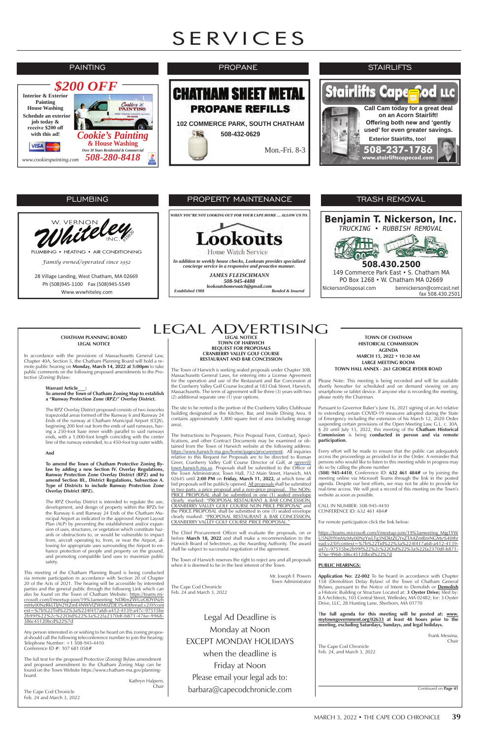#### **TOWN OF CHATHAM HISTORICAL COMMISSION AGENDA MARCH 15, 2022 • 10:30 AM LARGE MEETING ROOM TOWN HALL ANNEX - 261 GEORGE RYDER ROAD**

Please Note: This meeting is being recorded and will be available shortly hereafter for scheduled and on demand viewing on any smartphone or tablet device. If anyone else is recording the meeting, please notify the Chairman.

Pursuant to Governor Baker's June 16, 2021 signing of an Act relative to extending certain COVID-19 measures adopted during the State of Emergency including the extension of his March 12, 2020 Order suspending certain provisions of the Open Meeting Law, G.L. c. 30A, § 20 until July 15, 2022, this meeting of the **Chatham Historical Commission** is being **conducted in person and via remote participation.**

Every effort will be made to ensure that the public can adequately access the proceedings as provided for in the Order. A reminder that persons who would like to listen to this meeting while in progress may do so by calling the phone number

## LEGAL ADVERTISING **LEGAL NOTICE**

**(508) 945-4410**, Conference ID: **632 461 484#** or by joining the meeting online via Microsoft Teams through the link in the posted agenda. Despite our best efforts, we may not be able to provide for real-time access. We will post a record of this meeting on the Town's website as soon as possible.

CALL IN NUMBER: 508-945-4410 CONFERENCE ID: 632 461 484#

For remote participation click the link below:

https://teams.microsoft.com/l/meetup-join/19%3ameeting\_Mjg1YW U5NjYtYmMzMy00NzYwLTg3NDktZGYxZTA4ZmRmNGMy%40thr

**TOWN OF HARWICH REQUEST FOR PROPOSALS CRANBERRY VALLEY GOLF COURSE RESTAURANT AND BAR CONCESSION**

The Town of Harwich is seeking sealed proposals under Chapter 30B, Massachusetts General Laws, for entering into a License Agreement for the operation and use of the Restaurant and Bar Concession at the Cranberry Valley Golf Course located at 183 Oak Street, Harwich, Massachusetts. The term of agreement will be three (3) years with two (2) additional separate one (1) year options.

The site to be rented is the portion of the Cranberry Valley Clubhouse building designated as the Kitchen, Bar, and Inside Dining Area. It contains approximately 1,800 square feet of area (including storage area).

The Instructions to Proposers, Price Proposal Form, Contract, Specifications, and other Contract Documents may be examined or obtained from the Town of Harwich website at the following address: https://www.harwich-ma.gov/home/pages/procurement. All inquiries relative to this Request for Proposals are to be directed to Roman Greer, Cranberry Valley Golf Course Director of Golf, at rgreer@ town.harwich.ma.us. Proposals shall be submitted to the Office of the Town Administrator, Town Hall, 732 Main Street, Harwich, MA 02645 until **2:00 PM** on **Friday, March 11, 2022,** at which time all bid proposals will be publicly opened. All proposals shall be submitted in two parts, a price proposal and a non-price proposal. The NON-PRICE PROPOSAL shall be submitted in one (1) sealed envelope clearly marked: "PROPOSAL RESTAURANT & BAR CONCESSION, CRANBERRY VALLEY GOLF COURSE NON PRICE PROPOSAL" and the PRICE PROPOSAL shall be submitted in one (1) sealed envelope clearly marked: "PROPOSAL RESTAURANT & BAR CONCESSION, CRANBERRY VALLEY GOLF COURSE PRICE PROPOSAL."

| from, aircraft operating to, from, or near the Airport, al-<br>lowing for appropriate uses surrounding the Airport to en-<br>hance protection of people and property on the ground,<br>and promoting compatible land uses to maximize public<br>safety.                                                                                                                                                                                                                | Harwich Board of Selectmen, as the Awarding Authority. The award<br>shall be subject to successful negotiation of the agreement.<br>The Town of Harwich reserves the right to reject any and all proposals<br>when it is deemed to be in the best interest of the Town. | ead.v2/0?context=%7b%22Tid%22%3a%224f417a68-a412-4139-<br>a47c-97515be2b99f%22%2c%22Oid%22%3a%22fa2370df-b871-<br>476e-9968-386c45120bcd%22%7d<br><b>PUBLIC HEARINGS:</b>                                                                                                                                                                                                                                      |
|------------------------------------------------------------------------------------------------------------------------------------------------------------------------------------------------------------------------------------------------------------------------------------------------------------------------------------------------------------------------------------------------------------------------------------------------------------------------|-------------------------------------------------------------------------------------------------------------------------------------------------------------------------------------------------------------------------------------------------------------------------|----------------------------------------------------------------------------------------------------------------------------------------------------------------------------------------------------------------------------------------------------------------------------------------------------------------------------------------------------------------------------------------------------------------|
| This meeting of the Chatham Planning Board is being conducted<br>via remote participation in accordance with Section 20 of Chapter<br>20 of the Acts of 2021. The hearing will be accessible by interested<br>parties and the general public through the following Link which can<br>also be found on the Town of Chatham Website: https://teams.mi-<br>crosoft.com/l/meetup-join/19%3ameeting_NDRmZWUzODYtNzh<br>mMy00NzRkLTljN2YtZmE4NWVlZWM0ZDE3%40thread.v2/0?cont | Mr. Joseph F. Powers<br>Town Administrator<br>The Cape Cod Chronicle<br>Feb. 24 and March 3, 2022                                                                                                                                                                       | <b>Application No: 22-002</b> To be heard in accordance with Chapter<br>158 (Demolition Delay Bylaw) of the Town of Chatham General<br>Bylaws, pursuant to the Notice of Intent to Demolish or Demolish<br>a Historic Building or Structure Located at: 3 Oyster Drive; filed by:<br>JLA Architects, 103 Central Street, Wellesley, MA 02482; for: 3 Oyster<br>Drive, LLC, 28 Hunting Lane, Sherborn, MA 01770 |
| ext=%7b%22Tid%22%3a%224f417a68-a412-4139-a47c-97515be<br>2b99f%22%2c%22Oid%22%3a%22fa2370df-b871-476e-9968-<br>386c45120bcd%22%7d                                                                                                                                                                                                                                                                                                                                      | Legal Ad Deadline is                                                                                                                                                                                                                                                    | The full agenda for this meeting will be posted at: www.<br>mytowngovernment.org/02633 at least 48 hours prior to the                                                                                                                                                                                                                                                                                          |
| Any person interested in or wishing to be heard on this zoning propos-                                                                                                                                                                                                                                                                                                                                                                                                 | Monday at Noon                                                                                                                                                                                                                                                          | meeting, excluding Saturdays, Sundays, and legal holidays.                                                                                                                                                                                                                                                                                                                                                     |
| al should call the following teleconference number to join the hearing:<br>Telephone Number: +1 508-945-4410<br>Conference ID $\#$ : 107 681 058 $\#$                                                                                                                                                                                                                                                                                                                  | <b>EXCEPT MONDAY HOLIDAYS</b>                                                                                                                                                                                                                                           | Frank Messina,<br>Chair<br>The Cape Cod Chronicle                                                                                                                                                                                                                                                                                                                                                              |
|                                                                                                                                                                                                                                                                                                                                                                                                                                                                        | when the deadline is                                                                                                                                                                                                                                                    | Feb. 24, and March 3, 2022                                                                                                                                                                                                                                                                                                                                                                                     |
| The full text for the proposed Protective (Zoning) Bylaw amendment<br>and proposed amendment to the Chatham Zoning Map can be<br>found on the Town Website https://www.chatham-ma.gov/planning-                                                                                                                                                                                                                                                                        | Friday at Noon                                                                                                                                                                                                                                                          |                                                                                                                                                                                                                                                                                                                                                                                                                |
| board.<br>Kathryn Halpern,                                                                                                                                                                                                                                                                                                                                                                                                                                             | Please email your legal ads to:                                                                                                                                                                                                                                         |                                                                                                                                                                                                                                                                                                                                                                                                                |
| Chair<br>The Cape Cod Chronicle<br>Feb. 24 and March 3, 2022                                                                                                                                                                                                                                                                                                                                                                                                           | barbara@capecodchronicle.com                                                                                                                                                                                                                                            | Continued on Page 41                                                                                                                                                                                                                                                                                                                                                                                           |

The Chief Procurement Officer will evaluate the proposals, on or before **March 18, 2022** and shall make a recommendation to the

#### **CHATHAM PLANNING BOARD LEGAL NOTICE**

In accordance with the provisions of Massachusetts General Law, Chapter 40A, Section 5, the Chatham Planning Board will hold a remote public hearing on **Monday, March 14, 2022 at 5:00pm** to take public comments on the following proposed amendments to the Protective (Zoning) Bylaw:

> **Warrant Article\_\_\_: To amend the Town of Chatham Zoning Map to establish a "Runway Protection Zone (RPZ)" Overlay District.**

> The RPZ Overlay District proposed consists of two isosceles trapezoidal areas formed off the Runway 6 and Runway 24 Ends of the runway at Chatham Municipal Airport (CQX), beginning 200 feet out from the ends of said runways, having a 250-foot base inner width parallel to said runways ends, with a 1,000-foot length coinciding with the center line of the runway extended, to a 450-foot top outer width.

#### **And**

**To amend the Town of Chatham Protective Zoning Bylaw by adding a new Section IV. Overlay Regulations, Runway Protection Zone Overlay District (RPZ) and to amend Section III., District Regulations, Subsection A. Type of Districts to include Runway Protection Zone Overlay District (RPZ).** 

The RPZ Overlay District is intended to regulate the use, development, and design of property within the RPZs for the Runway 6 and Runway 24 Ends of the Chatham Municipal Airport as indicated in the approved Airport Layout Plan (ALP) by preventing the establishment and/or expansion of uses, structures, or vegetation which constitute hazards or obstructions to, or would be vulnerable to impact from, aircraft operating to, from, or near the Airport, al-

# PROPERTY MAINTENANCE

*WHEN YOU'RE NOT LOOKING OUT FOR YOUR CAPE HOME … ALLOW US TO.*



*In addition to weekly house checks, Lookouts provides specialized concierge service in a responsive and proactive manner.*

*JAMES FLEISCHMANN 508-945-4488 lookoutshomewatch@gmail.com Established 1988 Bonded & Insured*



### PLUMBING

28 Village Landing, West Chatham, MA 02669 Ph (508)945-1100 Fax (508)945-5549 Www.wvwhiteley.com

*Family owned/operated since 1952* 



PLUMBING . HEATING . AIR CONDITIONING

# SERVICES